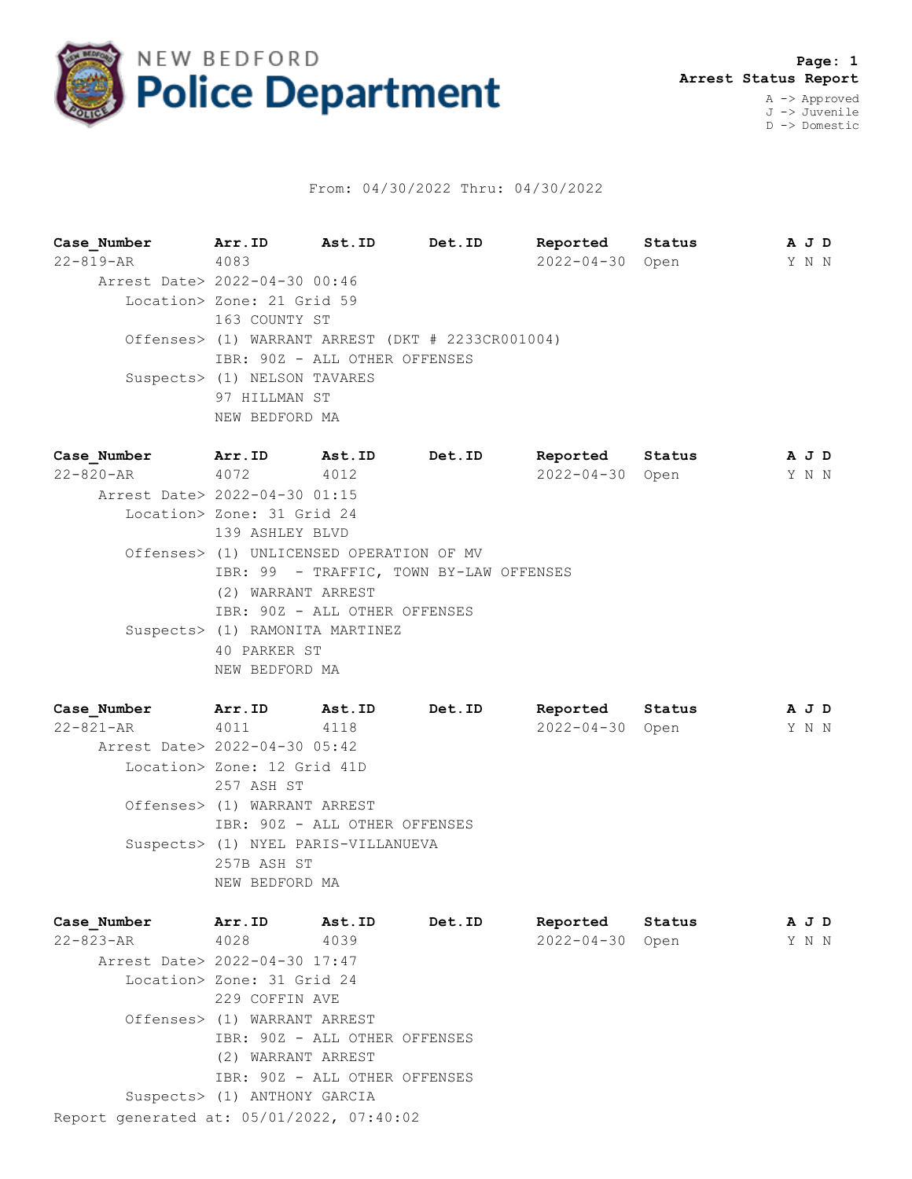

## From: 04/30/2022 Thru: 04/30/2022

**Case\_Number Arr.ID Ast.ID Det.ID Reported Status A J D** 22-819-AR 4083 2022-04-30 Open Y N N Arrest Date> 2022-04-30 00:46 Location> Zone: 21 Grid 59 163 COUNTY ST Offenses> (1) WARRANT ARREST (DKT # 2233CR001004) IBR: 90Z - ALL OTHER OFFENSES Suspects> (1) NELSON TAVARES 97 HILLMAN ST NEW BEDFORD MA

**Case\_Number Arr.ID Ast.ID Det.ID Reported Status A J D** 22-820-AR 4072 4012 2022-04-30 Open Y N N Arrest Date> 2022-04-30 01:15 Location> Zone: 31 Grid 24 139 ASHLEY BLVD Offenses> (1) UNLICENSED OPERATION OF MV IBR: 99 - TRAFFIC, TOWN BY-LAW OFFENSES (2) WARRANT ARREST IBR: 90Z - ALL OTHER OFFENSES Suspects> (1) RAMONITA MARTINEZ 40 PARKER ST NEW BEDFORD MA

**Case\_Number Arr.ID Ast.ID Det.ID Reported Status A J D** 22-821-AR 4011 4118 2022-04-30 Open Y N N Arrest Date> 2022-04-30 05:42 Location> Zone: 12 Grid 41D 257 ASH ST Offenses> (1) WARRANT ARREST IBR: 90Z - ALL OTHER OFFENSES Suspects> (1) NYEL PARIS-VILLANUEVA 257B ASH ST NEW BEDFORD MA

| Case Number                               | Arr.ID                        | Ast.ID | Det.ID | Reported         | Status | A J D |  |
|-------------------------------------------|-------------------------------|--------|--------|------------------|--------|-------|--|
| 22-823-AR                                 | 4028                          | 4039   |        | $2022 - 04 - 30$ | Open   | Y N N |  |
| Arrest Date> 2022-04-30 17:47             |                               |        |        |                  |        |       |  |
|                                           | Location> Zone: 31 Grid 24    |        |        |                  |        |       |  |
|                                           | 229 COFFIN AVE                |        |        |                  |        |       |  |
|                                           | Offenses> (1) WARRANT ARREST  |        |        |                  |        |       |  |
|                                           | IBR: 90Z - ALL OTHER OFFENSES |        |        |                  |        |       |  |
|                                           | (2) WARRANT ARREST            |        |        |                  |        |       |  |
|                                           | IBR: 90Z - ALL OTHER OFFENSES |        |        |                  |        |       |  |
|                                           | Suspects> (1) ANTHONY GARCIA  |        |        |                  |        |       |  |
| Report generated at: 05/01/2022, 07:40:02 |                               |        |        |                  |        |       |  |